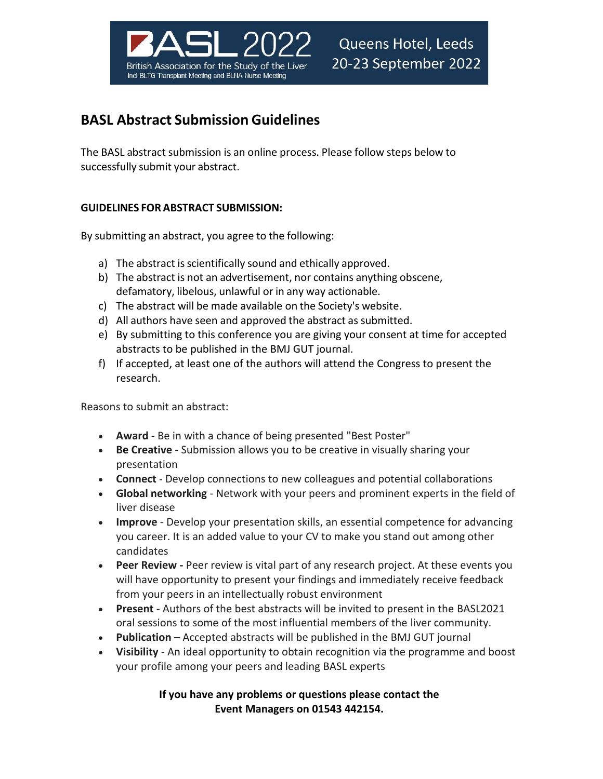

# **BASL Abstract Submission Guidelines**

The BASL abstract submission is an online process. Please follow steps below to successfully submit your abstract.

## **GUIDELINES FOR ABSTRACT SUBMISSION:**

By submitting an abstract, you agree to the following:

- a) The abstract is scientifically sound and ethically approved.
- b) The abstract is not an advertisement, nor contains anything obscene, defamatory, libelous, unlawful or in any way actionable.
- c) The abstract will be made available on the Society's website.
- d) All authors have seen and approved the abstract as submitted.
- e) By submitting to this conference you are giving your consent at time for accepted abstracts to be published in the BMJ GUT journal.
- f) If accepted, at least one of the authors will attend the Congress to present the research.

Reasons to submit an abstract:

- **Award** Be in with a chance of being presented "Best Poster"
- **Be Creative** Submission allows you to be creative in visually sharing your presentation
- **Connect**  Develop connections to new colleagues and potential collaborations
- **Global networking** Network with your peers and prominent experts in the field of liver disease
- **Improve** Develop your presentation skills, an essential competence for advancing you career. It is an added value to your CV to make you stand out among other candidates
- **Peer Review -** Peer review is vital part of any research project. At these events you will have opportunity to present your findings and immediately receive feedback from your peers in an intellectually robust environment
- **Present**  Authors of the best abstracts will be invited to present in the BASL2021 oral sessions to some of the most influential members of the liver community.
- **Publication** Accepted abstracts will be published in the BMJ GUT journal
- **Visibility** An ideal opportunity to obtain recognition via the programme and boost your profile among your peers and leading BASL experts

## **If you have any problems or questions please contact the Event Managers on 01543 442154.**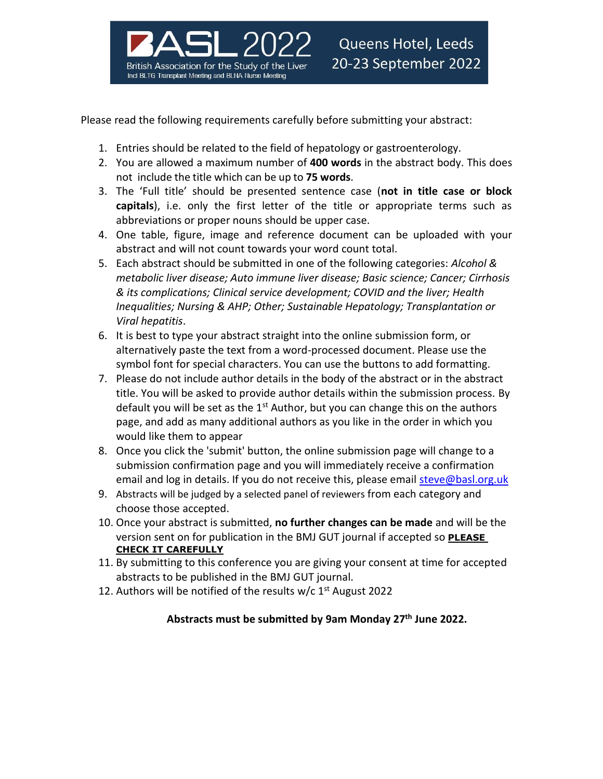

Please read the following requirements carefully before submitting your abstract:

- 1. Entries should be related to the field of hepatology or gastroenterology.
- 2. You are allowed a maximum number of **400 words** in the abstract body. This does not include the title which can be up to **75 words**.
- 3. The 'Full title' should be presented sentence case (**not in title case or block capitals**), i.e. only the first letter of the title or appropriate terms such as abbreviations or proper nouns should be upper case.
- 4. One table, figure, image and reference document can be uploaded with your abstract and will not count towards your word count total.
- 5. Each abstract should be submitted in one of the following categories: *Alcohol & metabolic liver disease; Auto immune liver disease; Basic science; Cancer; Cirrhosis & its complications; Clinical service development; COVID and the liver; Health Inequalities; Nursing & AHP; Other; Sustainable Hepatology; Transplantation or Viral hepatitis*.
- 6. It is best to type your abstract straight into the online submission form, or alternatively paste the text from a word-processed document. Please use the symbol font for special characters. You can use the buttons to add formatting.
- 7. Please do not include author details in the body of the abstract or in the abstract title. You will be asked to provide author details within the submission process. By default you will be set as the  $1<sup>st</sup>$  Author, but you can change this on the authors page, and add as many additional authors as you like in the order in which you would like them to appear
- 8. Once you click the 'submit' button, the online submission page will change to a submission confirmation page and you will immediately receive a confirmation email and log in details. If you do not receive this, please email [steve@basl.org.uk](mailto:steve@basl.org.uk)
- 9. Abstracts will be judged by a selected panel of reviewers from each category and choose those accepted.
- 10. Once your abstract is submitted, **no further changes can be made** and will be the version sent on for publication in the BMJ GUT journal if accepted so **PLEASE CHECK IT CAREFULLY**
- 11. By submitting to this conference you are giving your consent at time for accepted abstracts to be published in the BMJ GUT journal.
- 12. Authors will be notified of the results w/c 1<sup>st</sup> August 2022

### **Abstracts must be submitted by 9am Monday 27 th June 2022.**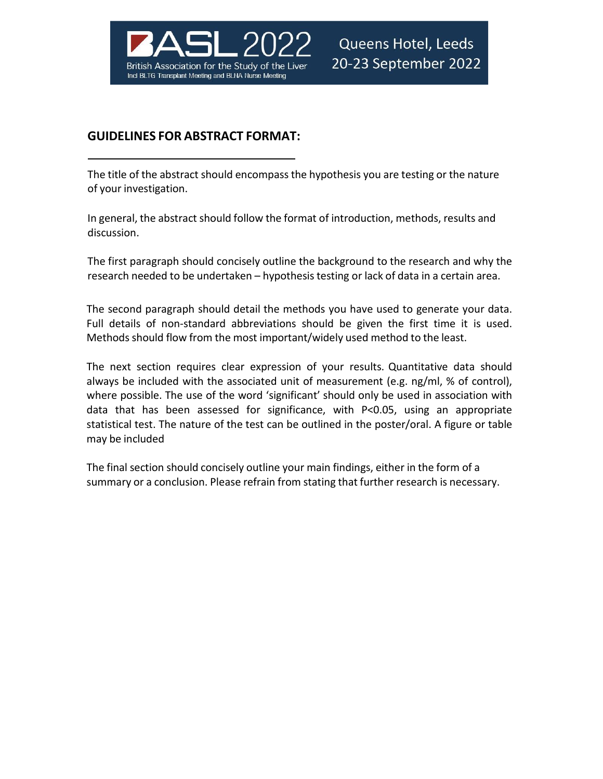

## **GUIDELINES FOR ABSTRACT FORMAT:**

The title of the abstract should encompassthe hypothesis you are testing or the nature of your investigation.

In general, the abstract should follow the format of introduction, methods, results and discussion.

The first paragraph should concisely outline the background to the research and why the research needed to be undertaken – hypothesis testing or lack of data in a certain area.

The second paragraph should detail the methods you have used to generate your data. Full details of non-standard abbreviations should be given the first time it is used. Methods should flow from the most important/widely used method to the least.

The next section requires clear expression of your results. Quantitative data should always be included with the associated unit of measurement (e.g. ng/ml, % of control), where possible. The use of the word 'significant' should only be used in association with data that has been assessed for significance, with P<0.05, using an appropriate statistical test. The nature of the test can be outlined in the poster/oral. A figure or table may be included

The final section should concisely outline your main findings, either in the form of a summary or a conclusion. Please refrain from stating that further research is necessary.